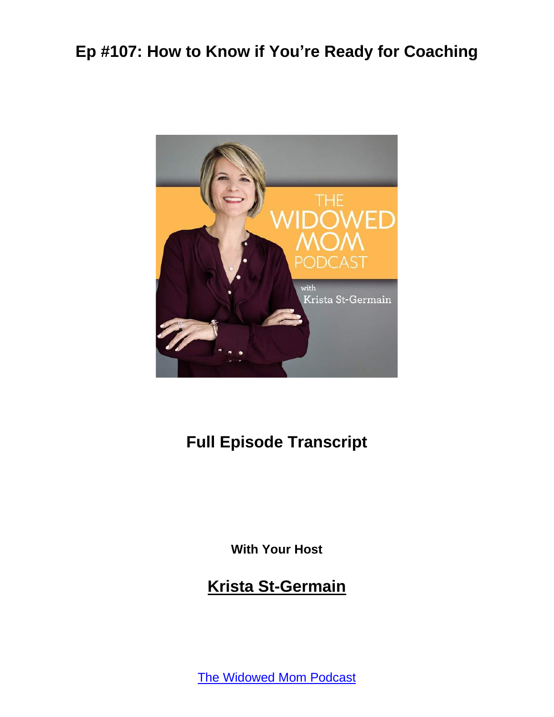

#### **Full Episode Transcript**

**With Your Host**

#### **Krista St-Germain**

The [Widowed](https://coachingwithkrista.com/podcast) Mom Podcast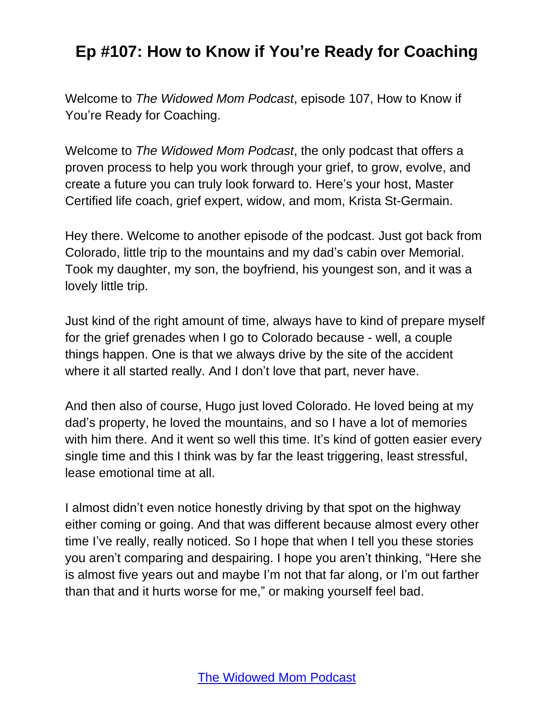Welcome to *The Widowed Mom Podcast*, episode 107, How to Know if You're Ready for Coaching.

Welcome to *The Widowed Mom Podcast*, the only podcast that offers a proven process to help you work through your grief, to grow, evolve, and create a future you can truly look forward to. Here's your host, Master Certified life coach, grief expert, widow, and mom, Krista St-Germain.

Hey there. Welcome to another episode of the podcast. Just got back from Colorado, little trip to the mountains and my dad's cabin over Memorial. Took my daughter, my son, the boyfriend, his youngest son, and it was a lovely little trip.

Just kind of the right amount of time, always have to kind of prepare myself for the grief grenades when I go to Colorado because - well, a couple things happen. One is that we always drive by the site of the accident where it all started really. And I don't love that part, never have.

And then also of course, Hugo just loved Colorado. He loved being at my dad's property, he loved the mountains, and so I have a lot of memories with him there. And it went so well this time. It's kind of gotten easier every single time and this I think was by far the least triggering, least stressful, lease emotional time at all.

I almost didn't even notice honestly driving by that spot on the highway either coming or going. And that was different because almost every other time I've really, really noticed. So I hope that when I tell you these stories you aren't comparing and despairing. I hope you aren't thinking, "Here she is almost five years out and maybe I'm not that far along, or I'm out farther than that and it hurts worse for me," or making yourself feel bad.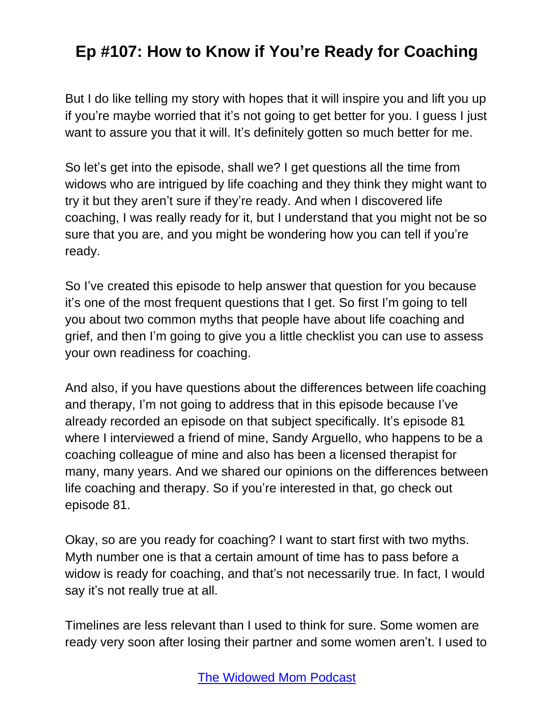But I do like telling my story with hopes that it will inspire you and lift you up if you're maybe worried that it's not going to get better for you. I guess I just want to assure you that it will. It's definitely gotten so much better for me.

So let's get into the episode, shall we? I get questions all the time from widows who are intrigued by life coaching and they think they might want to try it but they aren't sure if they're ready. And when I discovered life coaching, I was really ready for it, but I understand that you might not be so sure that you are, and you might be wondering how you can tell if you're ready.

So I've created this episode to help answer that question for you because it's one of the most frequent questions that I get. So first I'm going to tell you about two common myths that people have about life coaching and grief, and then I'm going to give you a little checklist you can use to assess your own readiness for coaching.

And also, if you have questions about the differences between life coaching and therapy, I'm not going to address that in this episode because I've already recorded an episode on that subject specifically. It's episode 81 where I interviewed a friend of mine, Sandy Arguello, who happens to be a coaching colleague of mine and also has been a licensed therapist for many, many years. And we shared our opinions on the differences between life coaching and therapy. So if you're interested in that, go check out episode 81.

Okay, so are you ready for coaching? I want to start first with two myths. Myth number one is that a certain amount of time has to pass before a widow is ready for coaching, and that's not necessarily true. In fact, I would say it's not really true at all.

Timelines are less relevant than I used to think for sure. Some women are ready very soon after losing their partner and some women aren't. I used to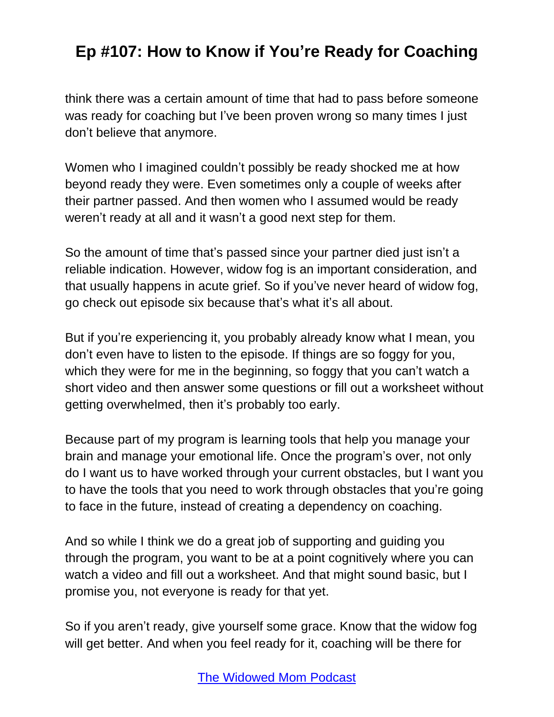think there was a certain amount of time that had to pass before someone was ready for coaching but I've been proven wrong so many times I just don't believe that anymore.

Women who I imagined couldn't possibly be ready shocked me at how beyond ready they were. Even sometimes only a couple of weeks after their partner passed. And then women who I assumed would be ready weren't ready at all and it wasn't a good next step for them.

So the amount of time that's passed since your partner died just isn't a reliable indication. However, widow fog is an important consideration, and that usually happens in acute grief. So if you've never heard of widow fog, go check out episode six because that's what it's all about.

But if you're experiencing it, you probably already know what I mean, you don't even have to listen to the episode. If things are so foggy for you, which they were for me in the beginning, so foggy that you can't watch a short video and then answer some questions or fill out a worksheet without getting overwhelmed, then it's probably too early.

Because part of my program is learning tools that help you manage your brain and manage your emotional life. Once the program's over, not only do I want us to have worked through your current obstacles, but I want you to have the tools that you need to work through obstacles that you're going to face in the future, instead of creating a dependency on coaching.

And so while I think we do a great job of supporting and guiding you through the program, you want to be at a point cognitively where you can watch a video and fill out a worksheet. And that might sound basic, but I promise you, not everyone is ready for that yet.

So if you aren't ready, give yourself some grace. Know that the widow fog will get better. And when you feel ready for it, coaching will be there for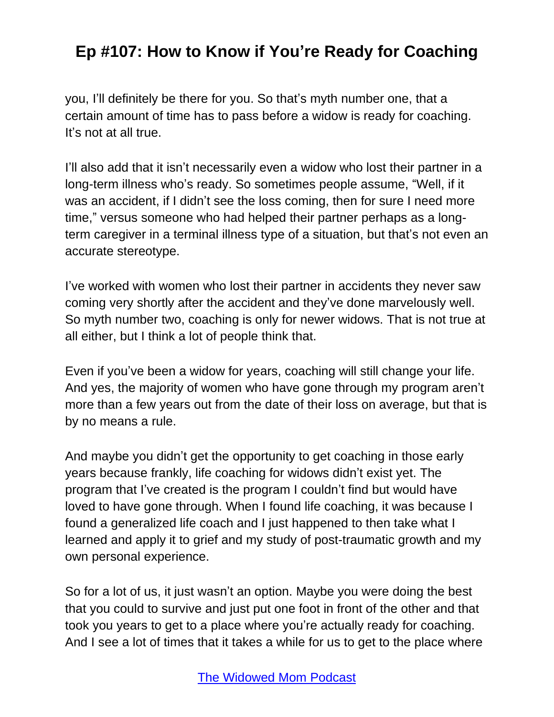you, I'll definitely be there for you. So that's myth number one, that a certain amount of time has to pass before a widow is ready for coaching. It's not at all true.

I'll also add that it isn't necessarily even a widow who lost their partner in a long-term illness who's ready. So sometimes people assume, "Well, if it was an accident, if I didn't see the loss coming, then for sure I need more time," versus someone who had helped their partner perhaps as a longterm caregiver in a terminal illness type of a situation, but that's not even an accurate stereotype.

I've worked with women who lost their partner in accidents they never saw coming very shortly after the accident and they've done marvelously well. So myth number two, coaching is only for newer widows. That is not true at all either, but I think a lot of people think that.

Even if you've been a widow for years, coaching will still change your life. And yes, the majority of women who have gone through my program aren't more than a few years out from the date of their loss on average, but that is by no means a rule.

And maybe you didn't get the opportunity to get coaching in those early years because frankly, life coaching for widows didn't exist yet. The program that I've created is the program I couldn't find but would have loved to have gone through. When I found life coaching, it was because I found a generalized life coach and I just happened to then take what I learned and apply it to grief and my study of post-traumatic growth and my own personal experience.

So for a lot of us, it just wasn't an option. Maybe you were doing the best that you could to survive and just put one foot in front of the other and that took you years to get to a place where you're actually ready for coaching. And I see a lot of times that it takes a while for us to get to the place where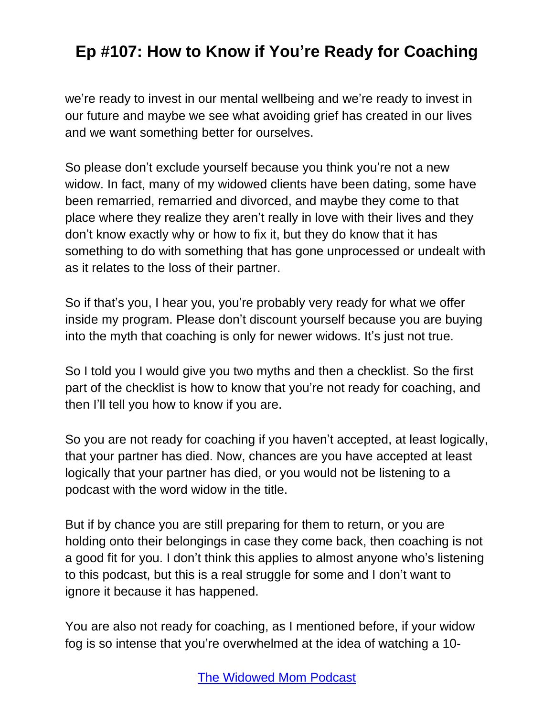we're ready to invest in our mental wellbeing and we're ready to invest in our future and maybe we see what avoiding grief has created in our lives and we want something better for ourselves.

So please don't exclude yourself because you think you're not a new widow. In fact, many of my widowed clients have been dating, some have been remarried, remarried and divorced, and maybe they come to that place where they realize they aren't really in love with their lives and they don't know exactly why or how to fix it, but they do know that it has something to do with something that has gone unprocessed or undealt with as it relates to the loss of their partner.

So if that's you, I hear you, you're probably very ready for what we offer inside my program. Please don't discount yourself because you are buying into the myth that coaching is only for newer widows. It's just not true.

So I told you I would give you two myths and then a checklist. So the first part of the checklist is how to know that you're not ready for coaching, and then I'll tell you how to know if you are.

So you are not ready for coaching if you haven't accepted, at least logically, that your partner has died. Now, chances are you have accepted at least logically that your partner has died, or you would not be listening to a podcast with the word widow in the title.

But if by chance you are still preparing for them to return, or you are holding onto their belongings in case they come back, then coaching is not a good fit for you. I don't think this applies to almost anyone who's listening to this podcast, but this is a real struggle for some and I don't want to ignore it because it has happened.

You are also not ready for coaching, as I mentioned before, if your widow fog is so intense that you're overwhelmed at the idea of watching a 10-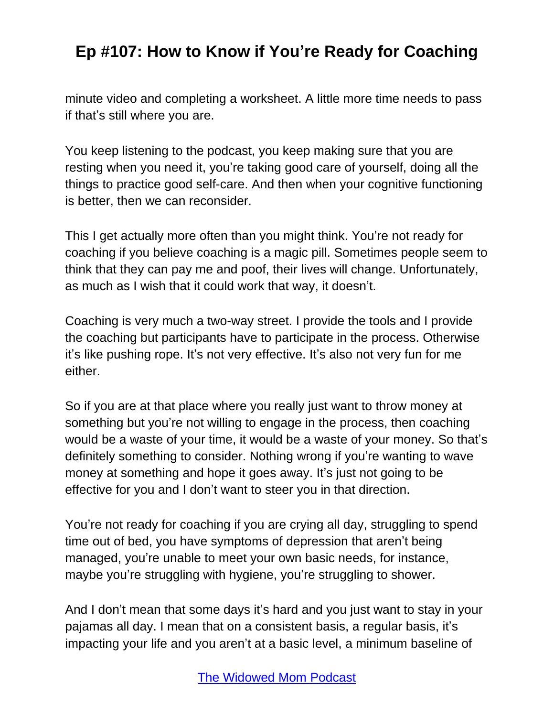minute video and completing a worksheet. A little more time needs to pass if that's still where you are.

You keep listening to the podcast, you keep making sure that you are resting when you need it, you're taking good care of yourself, doing all the things to practice good self-care. And then when your cognitive functioning is better, then we can reconsider.

This I get actually more often than you might think. You're not ready for coaching if you believe coaching is a magic pill. Sometimes people seem to think that they can pay me and poof, their lives will change. Unfortunately, as much as I wish that it could work that way, it doesn't.

Coaching is very much a two-way street. I provide the tools and I provide the coaching but participants have to participate in the process. Otherwise it's like pushing rope. It's not very effective. It's also not very fun for me either.

So if you are at that place where you really just want to throw money at something but you're not willing to engage in the process, then coaching would be a waste of your time, it would be a waste of your money. So that's definitely something to consider. Nothing wrong if you're wanting to wave money at something and hope it goes away. It's just not going to be effective for you and I don't want to steer you in that direction.

You're not ready for coaching if you are crying all day, struggling to spend time out of bed, you have symptoms of depression that aren't being managed, you're unable to meet your own basic needs, for instance, maybe you're struggling with hygiene, you're struggling to shower.

And I don't mean that some days it's hard and you just want to stay in your pajamas all day. I mean that on a consistent basis, a regular basis, it's impacting your life and you aren't at a basic level, a minimum baseline of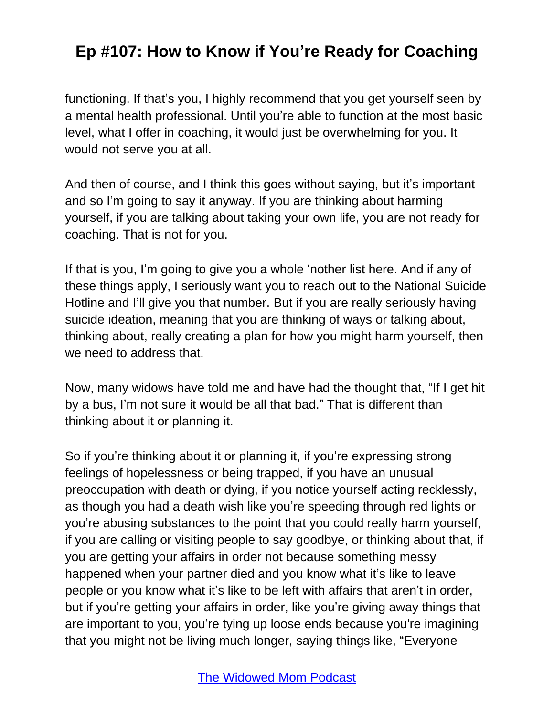functioning. If that's you, I highly recommend that you get yourself seen by a mental health professional. Until you're able to function at the most basic level, what I offer in coaching, it would just be overwhelming for you. It would not serve you at all.

And then of course, and I think this goes without saying, but it's important and so I'm going to say it anyway. If you are thinking about harming yourself, if you are talking about taking your own life, you are not ready for coaching. That is not for you.

If that is you, I'm going to give you a whole 'nother list here. And if any of these things apply, I seriously want you to reach out to the National Suicide Hotline and I'll give you that number. But if you are really seriously having suicide ideation, meaning that you are thinking of ways or talking about, thinking about, really creating a plan for how you might harm yourself, then we need to address that.

Now, many widows have told me and have had the thought that, "If I get hit by a bus, I'm not sure it would be all that bad." That is different than thinking about it or planning it.

So if you're thinking about it or planning it, if you're expressing strong feelings of hopelessness or being trapped, if you have an unusual preoccupation with death or dying, if you notice yourself acting recklessly, as though you had a death wish like you're speeding through red lights or you're abusing substances to the point that you could really harm yourself, if you are calling or visiting people to say goodbye, or thinking about that, if you are getting your affairs in order not because something messy happened when your partner died and you know what it's like to leave people or you know what it's like to be left with affairs that aren't in order, but if you're getting your affairs in order, like you're giving away things that are important to you, you're tying up loose ends because you're imagining that you might not be living much longer, saying things like, "Everyone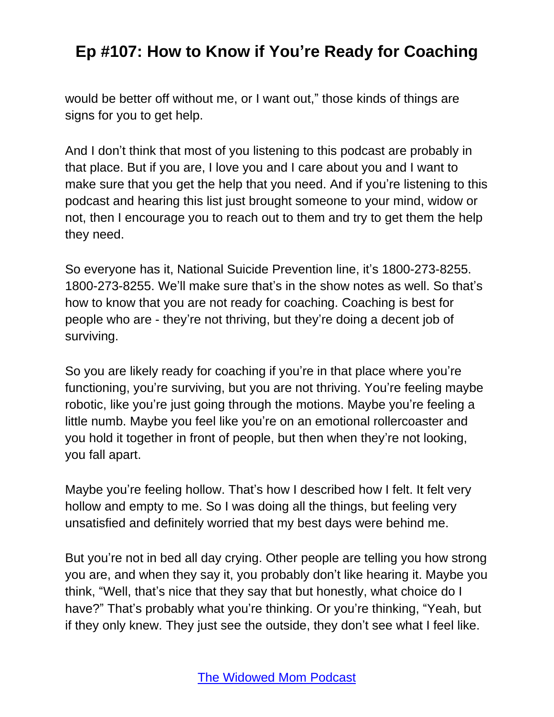would be better off without me, or I want out," those kinds of things are signs for you to get help.

And I don't think that most of you listening to this podcast are probably in that place. But if you are, I love you and I care about you and I want to make sure that you get the help that you need. And if you're listening to this podcast and hearing this list just brought someone to your mind, widow or not, then I encourage you to reach out to them and try to get them the help they need.

So everyone has it, National Suicide Prevention line, it's 1800-273-8255. 1800-273-8255. We'll make sure that's in the show notes as well. So that's how to know that you are not ready for coaching. Coaching is best for people who are - they're not thriving, but they're doing a decent job of surviving.

So you are likely ready for coaching if you're in that place where you're functioning, you're surviving, but you are not thriving. You're feeling maybe robotic, like you're just going through the motions. Maybe you're feeling a little numb. Maybe you feel like you're on an emotional rollercoaster and you hold it together in front of people, but then when they're not looking, you fall apart.

Maybe you're feeling hollow. That's how I described how I felt. It felt very hollow and empty to me. So I was doing all the things, but feeling very unsatisfied and definitely worried that my best days were behind me.

But you're not in bed all day crying. Other people are telling you how strong you are, and when they say it, you probably don't like hearing it. Maybe you think, "Well, that's nice that they say that but honestly, what choice do I have?" That's probably what you're thinking. Or you're thinking, "Yeah, but if they only knew. They just see the outside, they don't see what I feel like.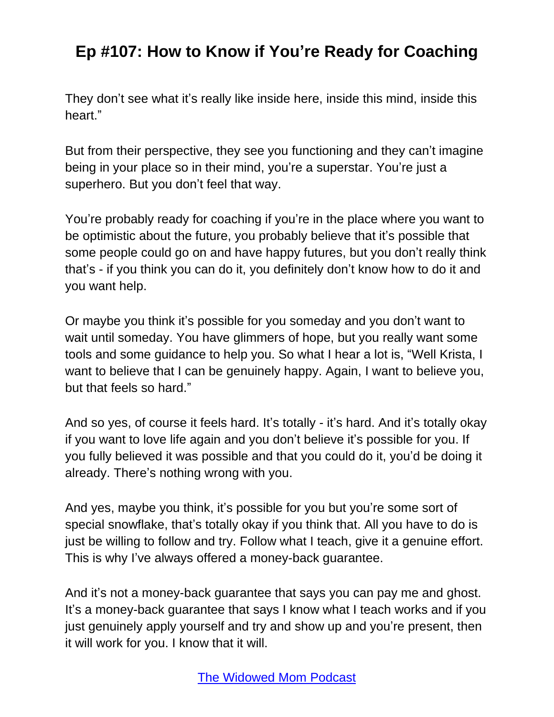They don't see what it's really like inside here, inside this mind, inside this heart."

But from their perspective, they see you functioning and they can't imagine being in your place so in their mind, you're a superstar. You're just a superhero. But you don't feel that way.

You're probably ready for coaching if you're in the place where you want to be optimistic about the future, you probably believe that it's possible that some people could go on and have happy futures, but you don't really think that's - if you think you can do it, you definitely don't know how to do it and you want help.

Or maybe you think it's possible for you someday and you don't want to wait until someday. You have glimmers of hope, but you really want some tools and some guidance to help you. So what I hear a lot is, "Well Krista, I want to believe that I can be genuinely happy. Again, I want to believe you, but that feels so hard."

And so yes, of course it feels hard. It's totally - it's hard. And it's totally okay if you want to love life again and you don't believe it's possible for you. If you fully believed it was possible and that you could do it, you'd be doing it already. There's nothing wrong with you.

And yes, maybe you think, it's possible for you but you're some sort of special snowflake, that's totally okay if you think that. All you have to do is just be willing to follow and try. Follow what I teach, give it a genuine effort. This is why I've always offered a money-back guarantee.

And it's not a money-back guarantee that says you can pay me and ghost. It's a money-back guarantee that says I know what I teach works and if you just genuinely apply yourself and try and show up and you're present, then it will work for you. I know that it will.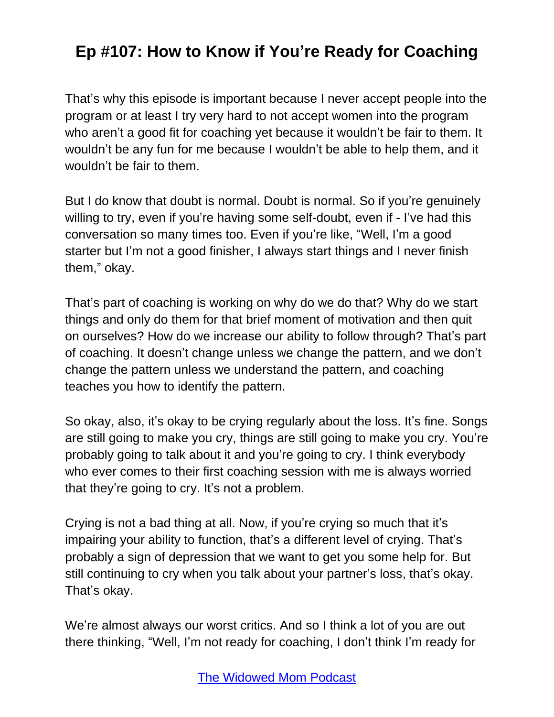That's why this episode is important because I never accept people into the program or at least I try very hard to not accept women into the program who aren't a good fit for coaching yet because it wouldn't be fair to them. It wouldn't be any fun for me because I wouldn't be able to help them, and it wouldn't be fair to them.

But I do know that doubt is normal. Doubt is normal. So if you're genuinely willing to try, even if you're having some self-doubt, even if - I've had this conversation so many times too. Even if you're like, "Well, I'm a good starter but I'm not a good finisher, I always start things and I never finish them," okay.

That's part of coaching is working on why do we do that? Why do we start things and only do them for that brief moment of motivation and then quit on ourselves? How do we increase our ability to follow through? That's part of coaching. It doesn't change unless we change the pattern, and we don't change the pattern unless we understand the pattern, and coaching teaches you how to identify the pattern.

So okay, also, it's okay to be crying regularly about the loss. It's fine. Songs are still going to make you cry, things are still going to make you cry. You're probably going to talk about it and you're going to cry. I think everybody who ever comes to their first coaching session with me is always worried that they're going to cry. It's not a problem.

Crying is not a bad thing at all. Now, if you're crying so much that it's impairing your ability to function, that's a different level of crying. That's probably a sign of depression that we want to get you some help for. But still continuing to cry when you talk about your partner's loss, that's okay. That's okay.

We're almost always our worst critics. And so I think a lot of you are out there thinking, "Well, I'm not ready for coaching, I don't think I'm ready for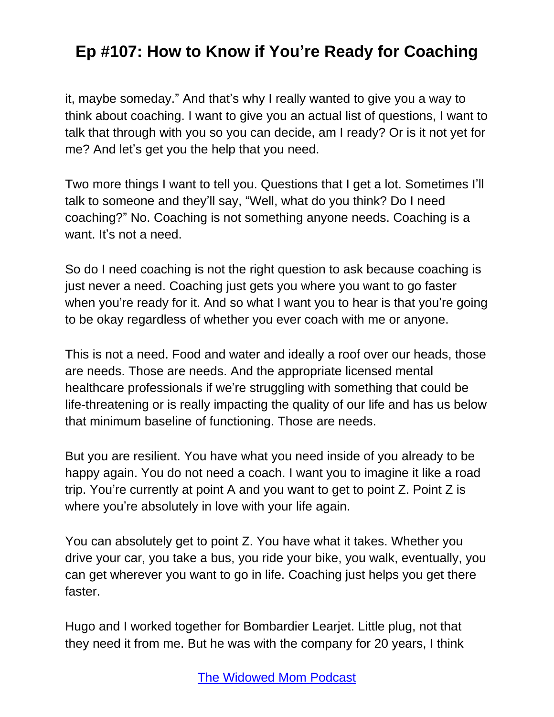it, maybe someday." And that's why I really wanted to give you a way to think about coaching. I want to give you an actual list of questions, I want to talk that through with you so you can decide, am I ready? Or is it not yet for me? And let's get you the help that you need.

Two more things I want to tell you. Questions that I get a lot. Sometimes I'll talk to someone and they'll say, "Well, what do you think? Do I need coaching?" No. Coaching is not something anyone needs. Coaching is a want. It's not a need.

So do I need coaching is not the right question to ask because coaching is just never a need. Coaching just gets you where you want to go faster when you're ready for it. And so what I want you to hear is that you're going to be okay regardless of whether you ever coach with me or anyone.

This is not a need. Food and water and ideally a roof over our heads, those are needs. Those are needs. And the appropriate licensed mental healthcare professionals if we're struggling with something that could be life-threatening or is really impacting the quality of our life and has us below that minimum baseline of functioning. Those are needs.

But you are resilient. You have what you need inside of you already to be happy again. You do not need a coach. I want you to imagine it like a road trip. You're currently at point A and you want to get to point Z. Point Z is where you're absolutely in love with your life again.

You can absolutely get to point Z. You have what it takes. Whether you drive your car, you take a bus, you ride your bike, you walk, eventually, you can get wherever you want to go in life. Coaching just helps you get there faster.

Hugo and I worked together for Bombardier Learjet. Little plug, not that they need it from me. But he was with the company for 20 years, I think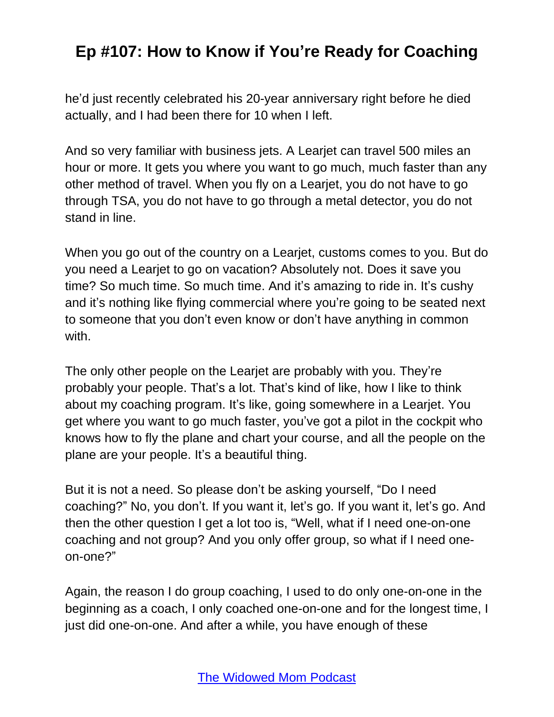he'd just recently celebrated his 20-year anniversary right before he died actually, and I had been there for 10 when I left.

And so very familiar with business jets. A Learjet can travel 500 miles an hour or more. It gets you where you want to go much, much faster than any other method of travel. When you fly on a Learjet, you do not have to go through TSA, you do not have to go through a metal detector, you do not stand in line.

When you go out of the country on a Learjet, customs comes to you. But do you need a Learjet to go on vacation? Absolutely not. Does it save you time? So much time. So much time. And it's amazing to ride in. It's cushy and it's nothing like flying commercial where you're going to be seated next to someone that you don't even know or don't have anything in common with.

The only other people on the Learjet are probably with you. They're probably your people. That's a lot. That's kind of like, how I like to think about my coaching program. It's like, going somewhere in a Learjet. You get where you want to go much faster, you've got a pilot in the cockpit who knows how to fly the plane and chart your course, and all the people on the plane are your people. It's a beautiful thing.

But it is not a need. So please don't be asking yourself, "Do I need coaching?" No, you don't. If you want it, let's go. If you want it, let's go. And then the other question I get a lot too is, "Well, what if I need one-on-one coaching and not group? And you only offer group, so what if I need oneon-one?"

Again, the reason I do group coaching, I used to do only one-on-one in the beginning as a coach, I only coached one-on-one and for the longest time, I just did one-on-one. And after a while, you have enough of these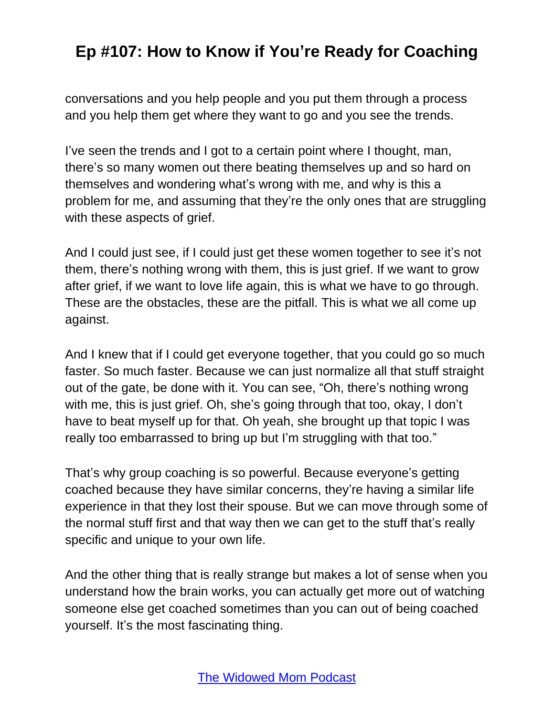conversations and you help people and you put them through a process and you help them get where they want to go and you see the trends.

I've seen the trends and I got to a certain point where I thought, man, there's so many women out there beating themselves up and so hard on themselves and wondering what's wrong with me, and why is this a problem for me, and assuming that they're the only ones that are struggling with these aspects of grief.

And I could just see, if I could just get these women together to see it's not them, there's nothing wrong with them, this is just grief. If we want to grow after grief, if we want to love life again, this is what we have to go through. These are the obstacles, these are the pitfall. This is what we all come up against.

And I knew that if I could get everyone together, that you could go so much faster. So much faster. Because we can just normalize all that stuff straight out of the gate, be done with it. You can see, "Oh, there's nothing wrong with me, this is just grief. Oh, she's going through that too, okay, I don't have to beat myself up for that. Oh yeah, she brought up that topic I was really too embarrassed to bring up but I'm struggling with that too."

That's why group coaching is so powerful. Because everyone's getting coached because they have similar concerns, they're having a similar life experience in that they lost their spouse. But we can move through some of the normal stuff first and that way then we can get to the stuff that's really specific and unique to your own life.

And the other thing that is really strange but makes a lot of sense when you understand how the brain works, you can actually get more out of watching someone else get coached sometimes than you can out of being coached yourself. It's the most fascinating thing.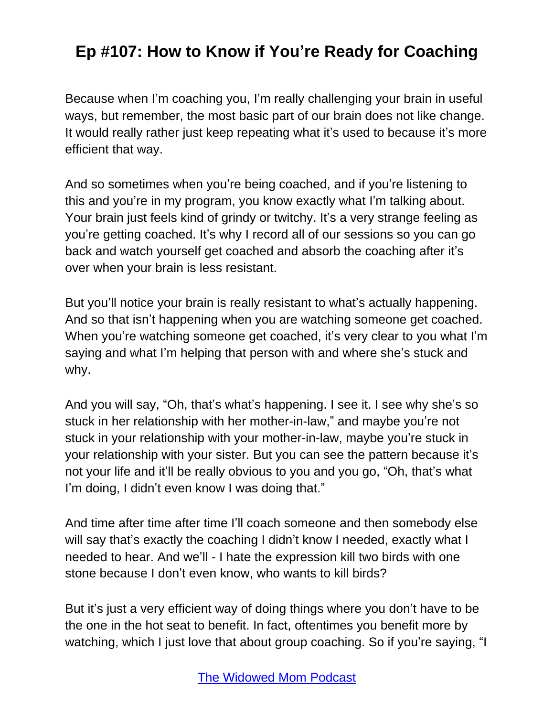Because when I'm coaching you, I'm really challenging your brain in useful ways, but remember, the most basic part of our brain does not like change. It would really rather just keep repeating what it's used to because it's more efficient that way.

And so sometimes when you're being coached, and if you're listening to this and you're in my program, you know exactly what I'm talking about. Your brain just feels kind of grindy or twitchy. It's a very strange feeling as you're getting coached. It's why I record all of our sessions so you can go back and watch yourself get coached and absorb the coaching after it's over when your brain is less resistant.

But you'll notice your brain is really resistant to what's actually happening. And so that isn't happening when you are watching someone get coached. When you're watching someone get coached, it's very clear to you what I'm saying and what I'm helping that person with and where she's stuck and why.

And you will say, "Oh, that's what's happening. I see it. I see why she's so stuck in her relationship with her mother-in-law," and maybe you're not stuck in your relationship with your mother-in-law, maybe you're stuck in your relationship with your sister. But you can see the pattern because it's not your life and it'll be really obvious to you and you go, "Oh, that's what I'm doing, I didn't even know I was doing that."

And time after time after time I'll coach someone and then somebody else will say that's exactly the coaching I didn't know I needed, exactly what I needed to hear. And we'll - I hate the expression kill two birds with one stone because I don't even know, who wants to kill birds?

But it's just a very efficient way of doing things where you don't have to be the one in the hot seat to benefit. In fact, oftentimes you benefit more by watching, which I just love that about group coaching. So if you're saying, "I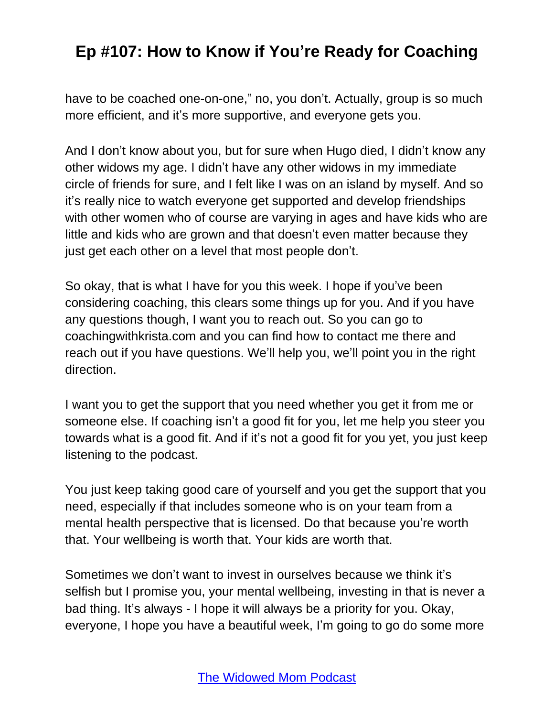have to be coached one-on-one," no, you don't. Actually, group is so much more efficient, and it's more supportive, and everyone gets you.

And I don't know about you, but for sure when Hugo died, I didn't know any other widows my age. I didn't have any other widows in my immediate circle of friends for sure, and I felt like I was on an island by myself. And so it's really nice to watch everyone get supported and develop friendships with other women who of course are varying in ages and have kids who are little and kids who are grown and that doesn't even matter because they just get each other on a level that most people don't.

So okay, that is what I have for you this week. I hope if you've been considering coaching, this clears some things up for you. And if you have any questions though, I want you to reach out. So you can go to coachingwithkrista.com and you can find how to contact me there and reach out if you have questions. We'll help you, we'll point you in the right direction.

I want you to get the support that you need whether you get it from me or someone else. If coaching isn't a good fit for you, let me help you steer you towards what is a good fit. And if it's not a good fit for you yet, you just keep listening to the podcast.

You just keep taking good care of yourself and you get the support that you need, especially if that includes someone who is on your team from a mental health perspective that is licensed. Do that because you're worth that. Your wellbeing is worth that. Your kids are worth that.

Sometimes we don't want to invest in ourselves because we think it's selfish but I promise you, your mental wellbeing, investing in that is never a bad thing. It's always - I hope it will always be a priority for you. Okay, everyone, I hope you have a beautiful week, I'm going to go do some more